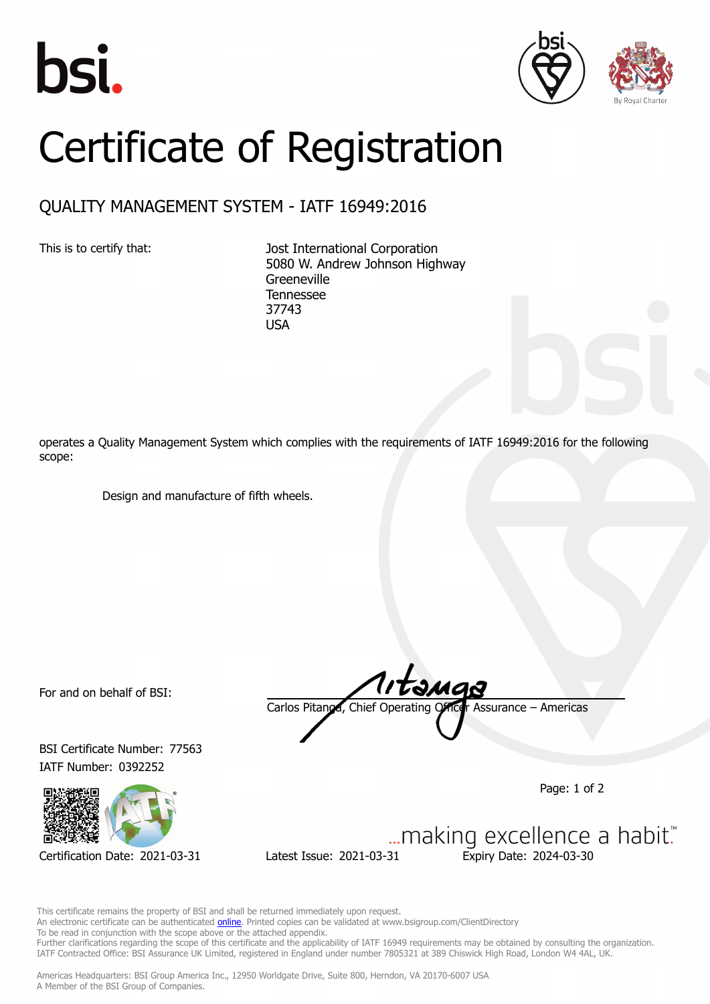





## Certificate of Registration

## QUALITY MANAGEMENT SYSTEM - IATF 16949:2016

This is to certify that: Jost International Corporation 5080 W. Andrew Johnson Highway **Greeneville** Tennessee 37743 USA

operates a Quality Management System which complies with the requirements of IATF 16949:2016 for the following scope:

Design and manufacture of fifth wheels.

For and on behalf of BSI:

BSI Certificate Number: 77563 IATF Number: 0392252



Carlos Pitanga, Chief Operating Officer Assurance – Americas

Page: 1 of 2

... making excellence a habit." Certification Date: 2021-03-31 Latest Issue: 2021-03-31 Expiry Date: 2024-03-30

This certificate remains the property of BSI and shall be returned immediately upon request. An electronic certificate can be authenticated **online**. Printed copies can be validated at www.bsigroup.com/ClientDirectory To be read in conjunction with the scope above or the attached appendix. Further clarifications regarding the scope of this certificate and the applicability of IATF 16949 requirements may be obtained by consulting the organization. IATF Contracted Office: BSI Assurance UK Limited, registered in England under number 7805321 at 389 Chiswick High Road, London W4 4AL, UK.

Americas Headquarters: BSI Group America Inc., 12950 Worldgate Drive, Suite 800, Herndon, VA 20170-6007 USA A Member of the BSI Group of Companies.